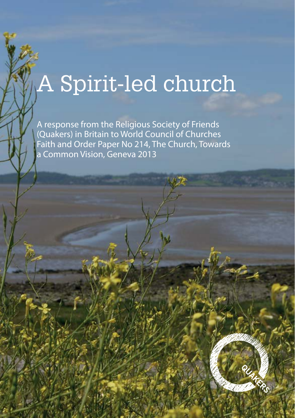# A Spirit-led church

A response from the Religious Society of Friends (Quakers) in Britain to World Council of Churches Faith and Order Paper No 214, The Church, Towards a Common Vision, Geneva 2013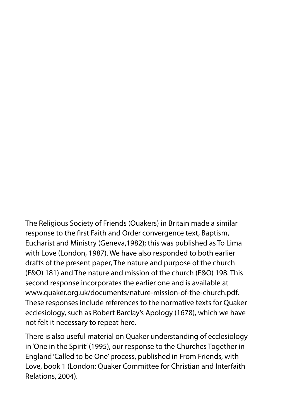The Religious Society of Friends (Quakers) in Britain made a similar response to the first Faith and Order convergence text, Baptism, Eucharist and Ministry (Geneva,1982); this was published as To Lima with Love (London, 1987). We have also responded to both earlier drafts of the present paper, The nature and purpose of the church (F&O) 181) and The nature and mission of the church (F&O) 198. This second response incorporates the earlier one and is available at www.quaker.org.uk/documents/nature-mission-of-the-church.pdf. These responses include references to the normative texts for Quaker ecclesiology, such as Robert Barclay's Apology (1678), which we have not felt it necessary to repeat here.

There is also useful material on Quaker understanding of ecclesiology in 'One in the Spirit' (1995), our response to the Churches Together in England 'Called to be One' process, published in From Friends, with Love, book 1 (London: Quaker Committee for Christian and Interfaith Relations, 2004).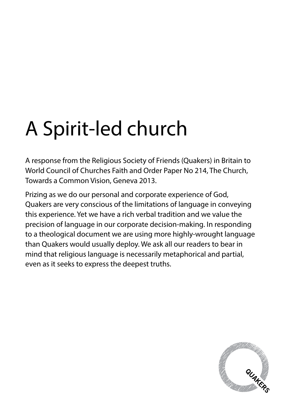# A Spirit-led church

A response from the Religious Society of Friends (Quakers) in Britain to World Council of Churches Faith and Order Paper No 214, The Church, Towards a Common Vision, Geneva 2013.

Prizing as we do our personal and corporate experience of God, Quakers are very conscious of the limitations of language in conveying this experience. Yet we have a rich verbal tradition and we value the precision of language in our corporate decision-making. In responding to a theological document we are using more highly-wrought language than Quakers would usually deploy. We ask all our readers to bear in mind that religious language is necessarily metaphorical and partial, even as it seeks to express the deepest truths.

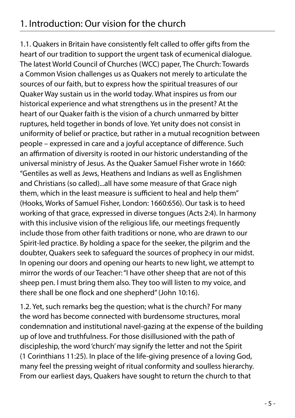#### 1. Introduction: Our vision for the church

1.1. Quakers in Britain have consistently felt called to offer gifts from the heart of our tradition to support the urgent task of ecumenical dialogue. The latest World Council of Churches (WCC) paper, The Church: Towards a Common Vision challenges us as Quakers not merely to articulate the sources of our faith, but to express how the spiritual treasures of our Quaker Way sustain us in the world today. What inspires us from our historical experience and what strengthens us in the present? At the heart of our Quaker faith is the vision of a church unmarred by bitter ruptures, held together in bonds of love. Yet unity does not consist in uniformity of belief or practice, but rather in a mutual recognition between people – expressed in care and a joyful acceptance of difference. Such an affirmation of diversity is rooted in our historic understanding of the universal ministry of Jesus. As the Quaker Samuel Fisher wrote in 1660: "Gentiles as well as Jews, Heathens and Indians as well as Englishmen and Christians (so called)...all have some measure of that Grace nigh them, which in the least measure is sufficient to heal and help them" (Hooks, Works of Samuel Fisher, London: 1660:656). Our task is to heed working of that grace, expressed in diverse tongues (Acts 2:4). In harmony with this inclusive vision of the religious life, our meetings frequently include those from other faith traditions or none, who are drawn to our Spirit-led practice. By holding a space for the seeker, the pilgrim and the doubter, Quakers seek to safeguard the sources of prophecy in our midst. In opening our doors and opening our hearts to new light, we attempt to mirror the words of our Teacher: "I have other sheep that are not of this sheep pen. I must bring them also. They too will listen to my voice, and there shall be one flock and one shepherd" (John 10:16).

1.2. Yet, such remarks beg the question; what is the church? For many the word has become connected with burdensome structures, moral condemnation and institutional navel-gazing at the expense of the building up of love and truthfulness. For those disillusioned with the path of discipleship, the word 'church' may signify the letter and not the Spirit (1 Corinthians 11:25). In place of the life-giving presence of a loving God, many feel the pressing weight of ritual conformity and soulless hierarchy. From our earliest days, Quakers have sought to return the church to that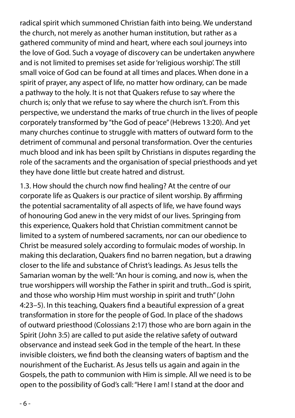radical spirit which summoned Christian faith into being. We understand the church, not merely as another human institution, but rather as a gathered community of mind and heart, where each soul journeys into the love of God. Such a voyage of discovery can be undertaken anywhere and is not limited to premises set aside for 'religious worship'. The still small voice of God can be found at all times and places. When done in a spirit of prayer, any aspect of life, no matter how ordinary, can be made a pathway to the holy. It is not that Quakers refuse to say where the church is; only that we refuse to say where the church isn't. From this perspective, we understand the marks of true church in the lives of people corporately transformed by "the God of peace" (Hebrews 13:20). And yet many churches continue to struggle with matters of outward form to the detriment of communal and personal transformation. Over the centuries much blood and ink has been spilt by Christians in disputes regarding the role of the sacraments and the organisation of special priesthoods and yet they have done little but create hatred and distrust.

1.3. How should the church now find healing? At the centre of our corporate life as Quakers is our practice of silent worship. By affirming the potential sacramentality of all aspects of life, we have found ways of honouring God anew in the very midst of our lives. Springing from this experience, Quakers hold that Christian commitment cannot be limited to a system of numbered sacraments, nor can our obedience to Christ be measured solely according to formulaic modes of worship. In making this declaration, Quakers find no barren negation, but a drawing closer to the life and substance of Christ's leadings. As Jesus tells the Samarian woman by the well: "An hour is coming, and now is, when the true worshippers will worship the Father in spirit and truth...God is spirit, and those who worship Him must worship in spirit and truth" (John 4:23–5). In this teaching, Quakers find a beautiful expression of a great transformation in store for the people of God. In place of the shadows of outward priesthood (Colossians 2:17) those who are born again in the Spirit (John 3:5) are called to put aside the relative safety of outward observance and instead seek God in the temple of the heart. In these invisible cloisters, we find both the cleansing waters of baptism and the nourishment of the Eucharist. As Jesus tells us again and again in the Gospels, the path to communion with Him is simple. All we need is to be open to the possibility of God's call: "Here I am! I stand at the door and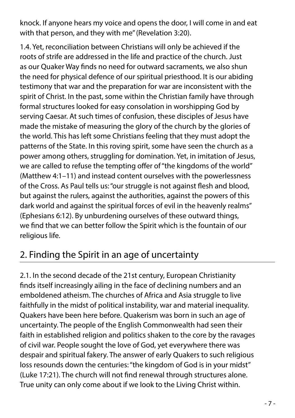knock. If anyone hears my voice and opens the door, I will come in and eat with that person, and they with me" (Revelation 3:20).

1.4. Yet, reconciliation between Christians will only be achieved if the roots of strife are addressed in the life and practice of the church. Just as our Quaker Way finds no need for outward sacraments, we also shun the need for physical defence of our spiritual priesthood. It is our abiding testimony that war and the preparation for war are inconsistent with the spirit of Christ. In the past, some within the Christian family have through formal structures looked for easy consolation in worshipping God by serving Caesar. At such times of confusion, these disciples of Jesus have made the mistake of measuring the glory of the church by the glories of the world. This has left some Christians feeling that they must adopt the patterns of the State. In this roving spirit, some have seen the church as a power among others, struggling for domination. Yet, in imitation of Jesus, we are called to refuse the tempting offer of "the kingdoms of the world" (Matthew 4:1–11) and instead content ourselves with the powerlessness of the Cross. As Paul tells us: "our struggle is not against flesh and blood, but against the rulers, against the authorities, against the powers of this dark world and against the spiritual forces of evil in the heavenly realms" (Ephesians 6:12). By unburdening ourselves of these outward things, we find that we can better follow the Spirit which is the fountain of our religious life.

## 2. Finding the Spirit in an age of uncertainty

2.1. In the second decade of the 21st century, European Christianity finds itself increasingly ailing in the face of declining numbers and an emboldened atheism. The churches of Africa and Asia struggle to live faithfully in the midst of political instability, war and material inequality. Quakers have been here before. Quakerism was born in such an age of uncertainty. The people of the English Commonwealth had seen their faith in established religion and politics shaken to the core by the ravages of civil war. People sought the love of God, yet everywhere there was despair and spiritual fakery. The answer of early Quakers to such religious loss resounds down the centuries: "the kingdom of God is in your midst" (Luke 17:21). The church will not find renewal through structures alone. True unity can only come about if we look to the Living Christ within.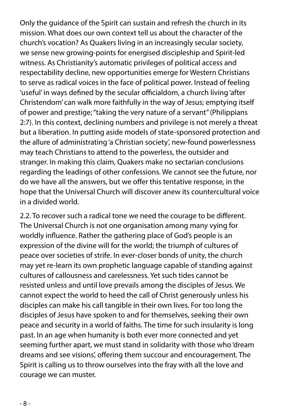Only the guidance of the Spirit can sustain and refresh the church in its mission. What does our own context tell us about the character of the church's vocation? As Quakers living in an increasingly secular society, we sense new growing-points for energised discipleship and Spirit-led witness. As Christianity's automatic privileges of political access and respectability decline, new opportunities emerge for Western Christians to serve as radical voices in the face of political power. Instead of feeling 'useful' in ways defined by the secular officialdom, a church living 'after Christendom' can walk more faithfully in the way of Jesus; emptying itself of power and prestige; "taking the very nature of a servant" (Philippians 2:7). In this context, declining numbers and privilege is not merely a threat but a liberation. In putting aside models of state-sponsored protection and the allure of administrating 'a Christian society', new-found powerlessness may teach Christians to attend to the powerless, the outsider and stranger. In making this claim, Quakers make no sectarian conclusions regarding the leadings of other confessions. We cannot see the future, nor do we have all the answers, but we offer this tentative response, in the hope that the Universal Church will discover anew its countercultural voice in a divided world.

2.2. To recover such a radical tone we need the courage to be different. The Universal Church is not one organisation among many vying for worldly influence. Rather the gathering place of God's people is an expression of the divine will for the world; the triumph of cultures of peace over societies of strife. In ever-closer bonds of unity, the church may yet re-learn its own prophetic language capable of standing against cultures of callousness and carelessness. Yet such tides cannot be resisted unless and until love prevails among the disciples of Jesus. We cannot expect the world to heed the call of Christ generously unless his disciples can make his call tangible in their own lives. For too long the disciples of Jesus have spoken to and for themselves, seeking their own peace and security in a world of faiths. The time for such insularity is long past. In an age when humanity is both ever more connected and yet seeming further apart, we must stand in solidarity with those who 'dream dreams and see visions', offering them succour and encouragement. The Spirit is calling us to throw ourselves into the fray with all the love and courage we can muster.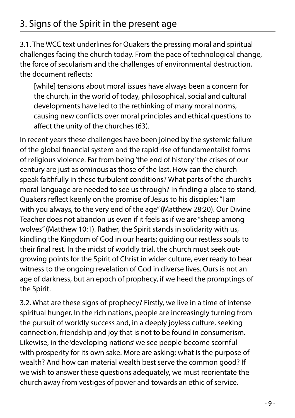3.1. The WCC text underlines for Quakers the pressing moral and spiritual challenges facing the church today. From the pace of technological change, the force of secularism and the challenges of environmental destruction, the document reflects:

[while] tensions about moral issues have always been a concern for the church, in the world of today, philosophical, social and cultural developments have led to the rethinking of many moral norms, causing new conflicts over moral principles and ethical questions to affect the unity of the churches (63).

In recent years these challenges have been joined by the systemic failure of the global financial system and the rapid rise of fundamentalist forms of religious violence. Far from being 'the end of history' the crises of our century are just as ominous as those of the last. How can the church speak faithfully in these turbulent conditions? What parts of the church's moral language are needed to see us through? In finding a place to stand, Quakers reflect keenly on the promise of Jesus to his disciples: "I am with you always, to the very end of the age" (Matthew 28:20). Our Divine Teacher does not abandon us even if it feels as if we are "sheep among wolves" (Matthew 10:1). Rather, the Spirit stands in solidarity with us, kindling the Kingdom of God in our hearts; guiding our restless souls to their final rest. In the midst of worldly trial, the church must seek outgrowing points for the Spirit of Christ in wider culture, ever ready to bear witness to the ongoing revelation of God in diverse lives. Ours is not an age of darkness, but an epoch of prophecy, if we heed the promptings of the Spirit.

3.2. What are these signs of prophecy? Firstly, we live in a time of intense spiritual hunger. In the rich nations, people are increasingly turning from the pursuit of worldly success and, in a deeply joyless culture, seeking connection, friendship and joy that is not to be found in consumerism. Likewise, in the 'developing nations' we see people become scornful with prosperity for its own sake. More are asking: what is the purpose of wealth? And how can material wealth best serve the common good? If we wish to answer these questions adequately, we must reorientate the church away from vestiges of power and towards an ethic of service.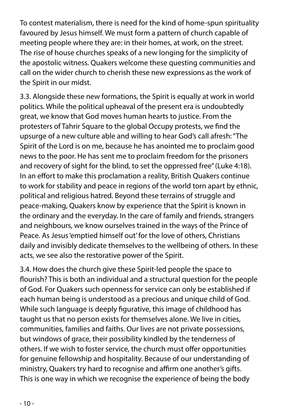To contest materialism, there is need for the kind of home-spun spirituality favoured by Jesus himself. We must form a pattern of church capable of meeting people where they are: in their homes, at work, on the street. The rise of house churches speaks of a new longing for the simplicity of the apostolic witness. Quakers welcome these questing communities and call on the wider church to cherish these new expressions as the work of the Spirit in our midst.

3.3. Alongside these new formations, the Spirit is equally at work in world politics. While the political upheaval of the present era is undoubtedly great, we know that God moves human hearts to justice. From the protesters of Tahrir Square to the global Occupy protests, we find the upsurge of a new culture able and willing to hear God's call afresh: "The Spirit of the Lord is on me, because he has anointed me to proclaim good news to the poor. He has sent me to proclaim freedom for the prisoners and recovery of sight for the blind, to set the oppressed free" (Luke 4:18). In an effort to make this proclamation a reality, British Quakers continue to work for stability and peace in regions of the world torn apart by ethnic, political and religious hatred. Beyond these terrains of struggle and peace-making, Quakers know by experience that the Spirit is known in the ordinary and the everyday. In the care of family and friends, strangers and neighbours, we know ourselves trained in the ways of the Prince of Peace. As Jesus 'emptied himself out' for the love of others, Christians daily and invisibly dedicate themselves to the wellbeing of others. In these acts, we see also the restorative power of the Spirit.

3.4. How does the church give these Spirit-led people the space to flourish? This is both an individual and a structural question for the people of God. For Quakers such openness for service can only be established if each human being is understood as a precious and unique child of God. While such language is deeply figurative, this image of childhood has taught us that no person exists for themselves alone. We live in cities, communities, families and faiths. Our lives are not private possessions, but windows of grace, their possibility kindled by the tenderness of others. If we wish to foster service, the church must offer opportunities for genuine fellowship and hospitality. Because of our understanding of ministry, Quakers try hard to recognise and affirm one another's gifts. This is one way in which we recognise the experience of being the body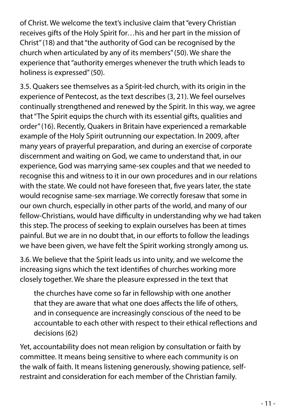of Christ. We welcome the text's inclusive claim that "every Christian receives gifts of the Holy Spirit for…his and her part in the mission of Christ" (18) and that "the authority of God can be recognised by the church when articulated by any of its members" (50). We share the experience that "authority emerges whenever the truth which leads to holiness is expressed" (50).

3.5. Quakers see themselves as a Spirit-led church, with its origin in the experience of Pentecost, as the text describes (3, 21). We feel ourselves continually strengthened and renewed by the Spirit. In this way, we agree that "The Spirit equips the church with its essential gifts, qualities and order" (16). Recently, Quakers in Britain have experienced a remarkable example of the Holy Spirit outrunning our expectation. In 2009, after many years of prayerful preparation, and during an exercise of corporate discernment and waiting on God, we came to understand that, in our experience, God was marrying same-sex couples and that we needed to recognise this and witness to it in our own procedures and in our relations with the state. We could not have foreseen that, five years later, the state would recognise same-sex marriage. We correctly foresaw that some in our own church, especially in other parts of the world, and many of our fellow-Christians, would have difficulty in understanding why we had taken this step. The process of seeking to explain ourselves has been at times painful. But we are in no doubt that, in our efforts to follow the leadings we have been given, we have felt the Spirit working strongly among us.

3.6. We believe that the Spirit leads us into unity, and we welcome the increasing signs which the text identifies of churches working more closely together. We share the pleasure expressed in the text that

the churches have come so far in fellowship with one another that they are aware that what one does affects the life of others, and in consequence are increasingly conscious of the need to be accountable to each other with respect to their ethical reflections and decisions (62)

Yet, accountability does not mean religion by consultation or faith by committee. It means being sensitive to where each community is on the walk of faith. It means listening generously, showing patience, selfrestraint and consideration for each member of the Christian family.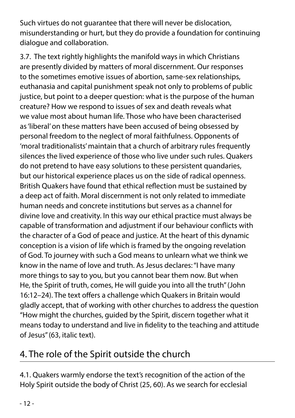Such virtues do not guarantee that there will never be dislocation, misunderstanding or hurt, but they do provide a foundation for continuing dialogue and collaboration.

3.7. The text rightly highlights the manifold ways in which Christians are presently divided by matters of moral discernment. Our responses to the sometimes emotive issues of abortion, same-sex relationships, euthanasia and capital punishment speak not only to problems of public justice, but point to a deeper question: what is the purpose of the human creature? How we respond to issues of sex and death reveals what we value most about human life. Those who have been characterised as 'liberal' on these matters have been accused of being obsessed by personal freedom to the neglect of moral faithfulness. Opponents of 'moral traditionalists' maintain that a church of arbitrary rules frequently silences the lived experience of those who live under such rules. Quakers do not pretend to have easy solutions to these persistent quandaries, but our historical experience places us on the side of radical openness. British Quakers have found that ethical reflection must be sustained by a deep act of faith. Moral discernment is not only related to immediate human needs and concrete institutions but serves as a channel for divine love and creativity. In this way our ethical practice must always be capable of transformation and adjustment if our behaviour conflicts with the character of a God of peace and justice. At the heart of this dynamic conception is a vision of life which is framed by the ongoing revelation of God. To journey with such a God means to unlearn what we think we know in the name of love and truth. As Jesus declares: "I have many more things to say to you, but you cannot bear them now. But when He, the Spirit of truth, comes, He will guide you into all the truth" (John 16:12–24). The text offers a challenge which Quakers in Britain would gladly accept, that of working with other churches to address the question "How might the churches, guided by the Spirit, discern together what it means today to understand and live in fidelity to the teaching and attitude of Jesus" (63, italic text).

## 4. The role of the Spirit outside the church

4.1. Quakers warmly endorse the text's recognition of the action of the Holy Spirit outside the body of Christ (25, 60). As we search for ecclesial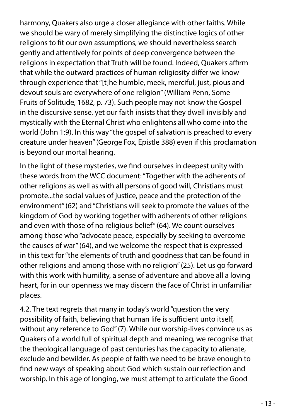harmony, Quakers also urge a closer allegiance with other faiths. While we should be wary of merely simplifying the distinctive logics of other religions to fit our own assumptions, we should nevertheless search gently and attentively for points of deep convergence between the religions in expectation that Truth will be found. Indeed, Quakers affirm that while the outward practices of human religiosity differ we know through experience that "[t]he humble, meek, merciful, just, pious and devout souls are everywhere of one religion" (William Penn, Some Fruits of Solitude, 1682, p. 73). Such people may not know the Gospel in the discursive sense, yet our faith insists that they dwell invisibly and mystically with the Eternal Christ who enlightens all who come into the world (John 1:9). In this way "the gospel of salvation is preached to every creature under heaven" (George Fox, Epistle 388) even if this proclamation is beyond our mortal hearing.

In the light of these mysteries, we find ourselves in deepest unity with these words from the WCC document: "Together with the adherents of other religions as well as with all persons of good will, Christians must promote...the social values of justice, peace and the protection of the environment" (62) and "Christians will seek to promote the values of the kingdom of God by working together with adherents of other religions and even with those of no religious belief" (64). We count ourselves among those who "advocate peace, especially by seeking to overcome the causes of war" (64), and we welcome the respect that is expressed in this text for "the elements of truth and goodness that can be found in other religions and among those with no religion" (25). Let us go forward with this work with humility, a sense of adventure and above all a loving heart, for in our openness we may discern the face of Christ in unfamiliar places.

4.2. The text regrets that many in today's world "question the very possibility of faith, believing that human life is sufficient unto itself, without any reference to God" (7). While our worship-lives convince us as Quakers of a world full of spiritual depth and meaning, we recognise that the theological language of past centuries has the capacity to alienate, exclude and bewilder. As people of faith we need to be brave enough to find new ways of speaking about God which sustain our reflection and worship. In this age of longing, we must attempt to articulate the Good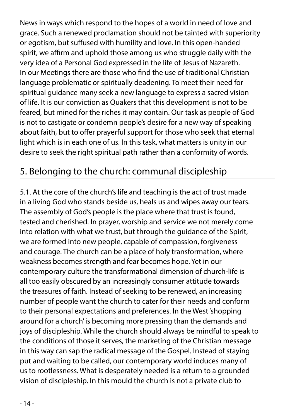News in ways which respond to the hopes of a world in need of love and grace. Such a renewed proclamation should not be tainted with superiority or egotism, but suffused with humility and love. In this open-handed spirit, we affirm and uphold those among us who struggle daily with the very idea of a Personal God expressed in the life of Jesus of Nazareth. In our Meetings there are those who find the use of traditional Christian language problematic or spiritually deadening. To meet their need for spiritual guidance many seek a new language to express a sacred vision of life. It is our conviction as Quakers that this development is not to be feared, but mined for the riches it may contain. Our task as people of God is not to castigate or condemn people's desire for a new way of speaking about faith, but to offer prayerful support for those who seek that eternal light which is in each one of us. In this task, what matters is unity in our desire to seek the right spiritual path rather than a conformity of words.

#### 5. Belonging to the church: communal discipleship

5.1. At the core of the church's life and teaching is the act of trust made in a living God who stands beside us, heals us and wipes away our tears. The assembly of God's people is the place where that trust is found, tested and cherished. In prayer, worship and service we not merely come into relation with what we trust, but through the guidance of the Spirit, we are formed into new people, capable of compassion, forgiveness and courage. The church can be a place of holy transformation, where weakness becomes strength and fear becomes hope. Yet in our contemporary culture the transformational dimension of church-life is all too easily obscured by an increasingly consumer attitude towards the treasures of faith. Instead of seeking to be renewed, an increasing number of people want the church to cater for their needs and conform to their personal expectations and preferences. In the West 'shopping around for a church' is becoming more pressing than the demands and joys of discipleship. While the church should always be mindful to speak to the conditions of those it serves, the marketing of the Christian message in this way can sap the radical message of the Gospel. Instead of staying put and waiting to be called, our contemporary world induces many of us to rootlessness. What is desperately needed is a return to a grounded vision of discipleship. In this mould the church is not a private club to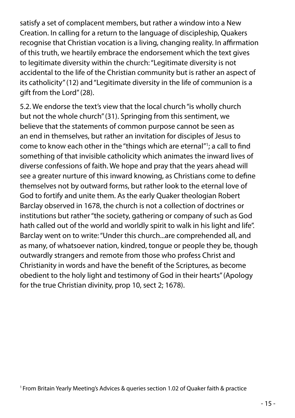satisfy a set of complacent members, but rather a window into a New Creation. In calling for a return to the language of discipleship, Quakers recognise that Christian vocation is a living, changing reality. In affirmation of this truth, we heartily embrace the endorsement which the text gives to legitimate diversity within the church: "Legitimate diversity is not accidental to the life of the Christian community but is rather an aspect of its catholicity" (12) and "Legitimate diversity in the life of communion is a gift from the Lord" (28).

5.2. We endorse the text's view that the local church "is wholly church but not the whole church" (31). Springing from this sentiment, we believe that the statements of common purpose cannot be seen as an end in themselves, but rather an invitation for disciples of Jesus to come to know each other in the "things which are eternal"1; a call to find something of that invisible catholicity which animates the inward lives of diverse confessions of faith. We hope and pray that the years ahead will see a greater nurture of this inward knowing, as Christians come to define themselves not by outward forms, but rather look to the eternal love of God to fortify and unite them. As the early Quaker theologian Robert Barclay observed in 1678, the church is not a collection of doctrines or institutions but rather "the society, gathering or company of such as God hath called out of the world and worldly spirit to walk in his light and life". Barclay went on to write: "Under this church...are comprehended all, and as many, of whatsoever nation, kindred, tongue or people they be, though outwardly strangers and remote from those who profess Christ and Christianity in words and have the benefit of the Scriptures, as become obedient to the holy light and testimony of God in their hearts" (Apology for the true Christian divinity, prop 10, sect 2; 1678).

1 From Britain Yearly Meeting's Advices & queries section 1.02 of Quaker faith & practice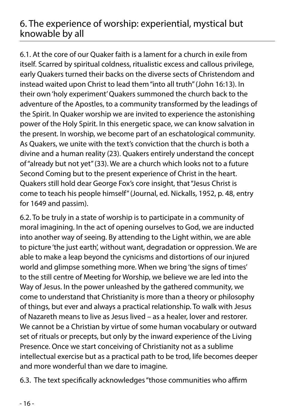#### 6. The experience of worship: experiential, mystical but knowable by all

6.1. At the core of our Quaker faith is a lament for a church in exile from itself. Scarred by spiritual coldness, ritualistic excess and callous privilege, early Quakers turned their backs on the diverse sects of Christendom and instead waited upon Christ to lead them "into all truth" (John 16:13). In their own 'holy experiment' Quakers summoned the church back to the adventure of the Apostles, to a community transformed by the leadings of the Spirit. In Quaker worship we are invited to experience the astonishing power of the Holy Spirit. In this energetic space, we can know salvation in the present. In worship, we become part of an eschatological community. As Quakers, we unite with the text's conviction that the church is both a divine and a human reality (23). Quakers entirely understand the concept of "already but not yet" (33). We are a church which looks not to a future Second Coming but to the present experience of Christ in the heart. Quakers still hold dear George Fox's core insight, that "Jesus Christ is come to teach his people himself" (Journal, ed. Nickalls, 1952, p. 48, entry for 1649 and passim).

6.2. To be truly in a state of worship is to participate in a community of moral imagining. In the act of opening ourselves to God, we are inducted into another way of seeing. By attending to the Light within, we are able to picture 'the just earth', without want, degradation or oppression. We are able to make a leap beyond the cynicisms and distortions of our injured world and glimpse something more. When we bring 'the signs of times' to the still centre of Meeting for Worship, we believe we are led into the Way of Jesus. In the power unleashed by the gathered community, we come to understand that Christianity is more than a theory or philosophy of things, but ever and always a practical relationship. To walk with Jesus of Nazareth means to live as Jesus lived – as a healer, lover and restorer. We cannot be a Christian by virtue of some human vocabulary or outward set of rituals or precepts, but only by the inward experience of the Living Presence. Once we start conceiving of Christianity not as a sublime intellectual exercise but as a practical path to be trod, life becomes deeper and more wonderful than we dare to imagine.

6.3. The text specifically acknowledges "those communities who affirm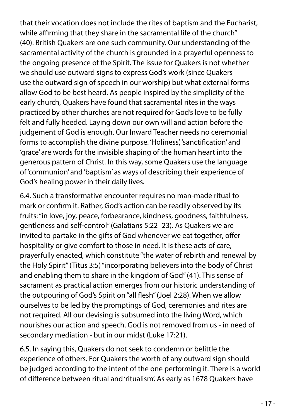that their vocation does not include the rites of baptism and the Eucharist, while affirming that they share in the sacramental life of the church" (40). British Quakers are one such community. Our understanding of the sacramental activity of the church is grounded in a prayerful openness to the ongoing presence of the Spirit. The issue for Quakers is not whether we should use outward signs to express God's work (since Quakers use the outward sign of speech in our worship) but what external forms allow God to be best heard. As people inspired by the simplicity of the early church, Quakers have found that sacramental rites in the ways practiced by other churches are not required for God's love to be fully felt and fully heeded. Laying down our own will and action before the judgement of God is enough. Our Inward Teacher needs no ceremonial forms to accomplish the divine purpose. 'Holiness', 'sanctification' and 'grace' are words for the invisible shaping of the human heart into the generous pattern of Christ. In this way, some Quakers use the language of 'communion' and 'baptism' as ways of describing their experience of God's healing power in their daily lives.

6.4. Such a transformative encounter requires no man-made ritual to mark or confirm it. Rather, God's action can be readily observed by its fruits: "in love, joy, peace, forbearance, kindness, goodness, faithfulness, gentleness and self-control" (Galatians 5:22–23). As Quakers we are invited to partake in the gifts of God whenever we eat together, offer hospitality or give comfort to those in need. It is these acts of care, prayerfully enacted, which constitute "the water of rebirth and renewal by the Holy Spirit" (Titus 3:5) "incorporating believers into the body of Christ and enabling them to share in the kingdom of God" (41). This sense of sacrament as practical action emerges from our historic understanding of the outpouring of God's Spirit on "all flesh" (Joel 2:28). When we allow ourselves to be led by the promptings of God, ceremonies and rites are not required. All our devising is subsumed into the living Word, which nourishes our action and speech. God is not removed from us - in need of secondary mediation - but in our midst (Luke 17:21).

6.5. In saying this, Quakers do not seek to condemn or belittle the experience of others. For Quakers the worth of any outward sign should be judged according to the intent of the one performing it. There is a world of difference between ritual and 'ritualism'. As early as 1678 Quakers have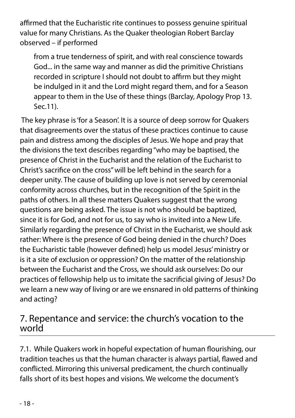affirmed that the Eucharistic rite continues to possess genuine spiritual value for many Christians. As the Quaker theologian Robert Barclay observed – if performed

from a true tenderness of spirit, and with real conscience towards God... in the same way and manner as did the primitive Christians recorded in scripture I should not doubt to affirm but they might be indulged in it and the Lord might regard them, and for a Season appear to them in the Use of these things (Barclay, Apology Prop 13. Sec.11).

 The key phrase is 'for a Season'. It is a source of deep sorrow for Quakers that disagreements over the status of these practices continue to cause pain and distress among the disciples of Jesus. We hope and pray that the divisions the text describes regarding "who may be baptised, the presence of Christ in the Eucharist and the relation of the Eucharist to Christ's sacrifice on the cross" will be left behind in the search for a deeper unity. The cause of building up love is not served by ceremonial conformity across churches, but in the recognition of the Spirit in the paths of others. In all these matters Quakers suggest that the wrong questions are being asked. The issue is not who should be baptized, since it is for God, and not for us, to say who is invited into a New Life. Similarly regarding the presence of Christ in the Eucharist, we should ask rather: Where is the presence of God being denied in the church? Does the Eucharistic table (however defined) help us model Jesus' ministry or is it a site of exclusion or oppression? On the matter of the relationship between the Eucharist and the Cross, we should ask ourselves: Do our practices of fellowship help us to imitate the sacrificial giving of Jesus? Do we learn a new way of living or are we ensnared in old patterns of thinking and acting?

#### 7. Repentance and service: the church's vocation to the world

7.1. While Quakers work in hopeful expectation of human flourishing, our tradition teaches us that the human character is always partial, flawed and conflicted. Mirroring this universal predicament, the church continually falls short of its best hopes and visions. We welcome the document's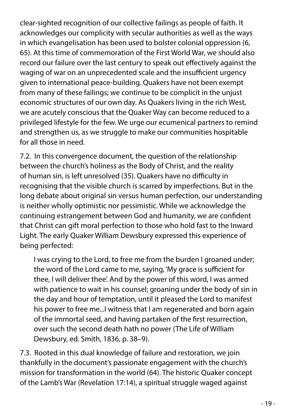clear-sighted recognition of our collective failings as people of faith. It acknowledges our complicity with secular authorities as well as the ways in which evangelisation has been used to bolster colonial oppression (6, 65). At this time of commemoration of the First World War, we should also record our failure over the last century to speak out effectively against the waging of war on an unprecedented scale and the insufficient urgency given to international peace-building. Quakers have not been exempt from many of these failings; we continue to be complicit in the unjust economic structures of our own day. As Quakers living in the rich West, we are acutely conscious that the Quaker Way can become reduced to a privileged lifestyle for the few. We urge our ecumenical partners to remind and strengthen us, as we struggle to make our communities hospitable for all those in need.

7.2. In this convergence document, the question of the relationship between the church's holiness as the Body of Christ, and the reality of human sin, is left unresolved (35). Quakers have no difficulty in recognising that the visible church is scarred by imperfections. But in the long debate about original sin versus human perfection, our understanding is neither wholly optimistic nor pessimistic. While we acknowledge the continuing estrangement between God and humanity, we are confident that Christ can gift moral perfection to those who hold fast to the Inward Light. The early Quaker William Dewsbury expressed this experience of being perfected:

I was crying to the Lord, to free me from the burden I groaned under; the word of the Lord came to me, saying, 'My grace is sufficient for thee, I will deliver thee'. And by the power of this word, I was armed with patience to wait in his counsel; groaning under the body of sin in the day and hour of temptation, until it pleased the Lord to manifest his power to free me...I witness that I am regenerated and born again of the immortal seed, and having partaken of the first resurrection, over such the second death hath no power (The Life of William Dewsbury, ed. Smith, 1836, p. 38–9).

7.3. Rooted in this dual knowledge of failure and restoration, we join thankfully in the document's passionate engagement with the church's mission for transformation in the world (64). The historic Quaker concept of the Lamb's War (Revelation 17:14), a spiritual struggle waged against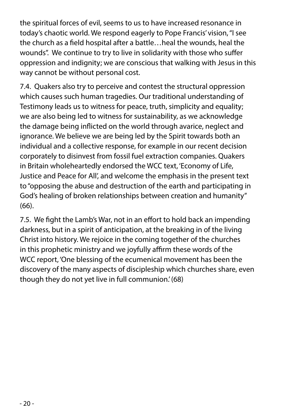the spiritual forces of evil, seems to us to have increased resonance in today's chaotic world. We respond eagerly to Pope Francis' vision, "I see the church as a field hospital after a battle…heal the wounds, heal the wounds". We continue to try to live in solidarity with those who suffer oppression and indignity; we are conscious that walking with Jesus in this way cannot be without personal cost.

7.4. Quakers also try to perceive and contest the structural oppression which causes such human tragedies. Our traditional understanding of Testimony leads us to witness for peace, truth, simplicity and equality; we are also being led to witness for sustainability, as we acknowledge the damage being inflicted on the world through avarice, neglect and ignorance. We believe we are being led by the Spirit towards both an individual and a collective response, for example in our recent decision corporately to disinvest from fossil fuel extraction companies. Quakers in Britain wholeheartedly endorsed the WCC text, 'Economy of Life, Justice and Peace for All', and welcome the emphasis in the present text to "opposing the abuse and destruction of the earth and participating in God's healing of broken relationships between creation and humanity" (66).

7.5. We fight the Lamb's War, not in an effort to hold back an impending darkness, but in a spirit of anticipation, at the breaking in of the living Christ into history. We rejoice in the coming together of the churches in this prophetic ministry and we joyfully affirm these words of the WCC report, 'One blessing of the ecumenical movement has been the discovery of the many aspects of discipleship which churches share, even though they do not yet live in full communion.' (68)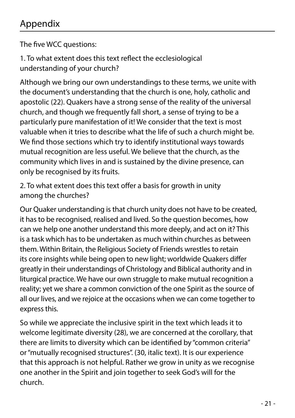#### Appendix

The five WCC questions:

1. To what extent does this text reflect the ecclesiological understanding of your church?

Although we bring our own understandings to these terms, we unite with the document's understanding that the church is one, holy, catholic and apostolic (22). Quakers have a strong sense of the reality of the universal church, and though we frequently fall short, a sense of trying to be a particularly pure manifestation of it! We consider that the text is most valuable when it tries to describe what the life of such a church might be. We find those sections which try to identify institutional ways towards mutual recognition are less useful. We believe that the church, as the community which lives in and is sustained by the divine presence, can only be recognised by its fruits.

2. To what extent does this text offer a basis for growth in unity among the churches?

Our Quaker understanding is that church unity does not have to be created, it has to be recognised, realised and lived. So the question becomes, how can we help one another understand this more deeply, and act on it? This is a task which has to be undertaken as much within churches as between them. Within Britain, the Religious Society of Friends wrestles to retain its core insights while being open to new light; worldwide Quakers differ greatly in their understandings of Christology and Biblical authority and in liturgical practice. We have our own struggle to make mutual recognition a reality; yet we share a common conviction of the one Spirit as the source of all our lives, and we rejoice at the occasions when we can come together to express this.

So while we appreciate the inclusive spirit in the text which leads it to welcome legitimate diversity (28), we are concerned at the corollary, that there are limits to diversity which can be identified by "common criteria" or "mutually recognised structures". (30, italic text). It is our experience that this approach is not helpful. Rather we grow in unity as we recognise one another in the Spirit and join together to seek God's will for the church.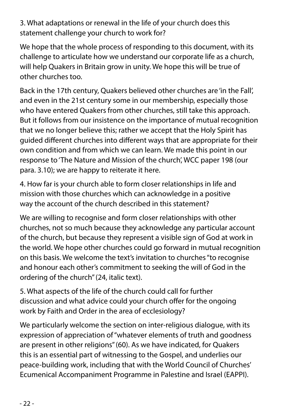3. What adaptations or renewal in the life of your church does this statement challenge your church to work for?

We hope that the whole process of responding to this document, with its challenge to articulate how we understand our corporate life as a church, will help Quakers in Britain grow in unity. We hope this will be true of other churches too.

Back in the 17th century, Quakers believed other churches are 'in the Fall', and even in the 21st century some in our membership, especially those who have entered Quakers from other churches, still take this approach. But it follows from our insistence on the importance of mutual recognition that we no longer believe this; rather we accept that the Holy Spirit has guided different churches into different ways that are appropriate for their own condition and from which we can learn. We made this point in our response to 'The Nature and Mission of the church', WCC paper 198 (our para. 3.10); we are happy to reiterate it here.

4. How far is your church able to form closer relationships in life and mission with those churches which can acknowledge in a positive way the account of the church described in this statement?

We are willing to recognise and form closer relationships with other churches, not so much because they acknowledge any particular account of the church, but because they represent a visible sign of God at work in the world. We hope other churches could go forward in mutual recognition on this basis. We welcome the text's invitation to churches "to recognise and honour each other's commitment to seeking the will of God in the ordering of the church" (24, italic text).

5. What aspects of the life of the church could call for further discussion and what advice could your church offer for the ongoing work by Faith and Order in the area of ecclesiology?

We particularly welcome the section on inter-religious dialogue, with its expression of appreciation of "whatever elements of truth and goodness are present in other religions" (60). As we have indicated, for Quakers this is an essential part of witnessing to the Gospel, and underlies our peace-building work, including that with the World Council of Churches' Ecumenical Accompaniment Programme in Palestine and Israel (EAPPI).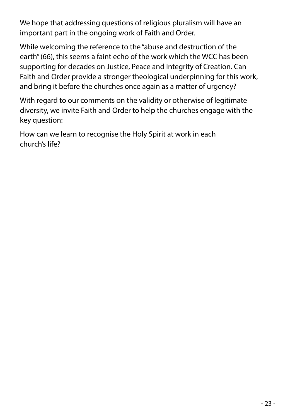We hope that addressing questions of religious pluralism will have an important part in the ongoing work of Faith and Order.

While welcoming the reference to the "abuse and destruction of the earth" (66), this seems a faint echo of the work which the WCC has been supporting for decades on Justice, Peace and Integrity of Creation. Can Faith and Order provide a stronger theological underpinning for this work, and bring it before the churches once again as a matter of urgency?

With regard to our comments on the validity or otherwise of legitimate diversity, we invite Faith and Order to help the churches engage with the key question:

How can we learn to recognise the Holy Spirit at work in each church's life?